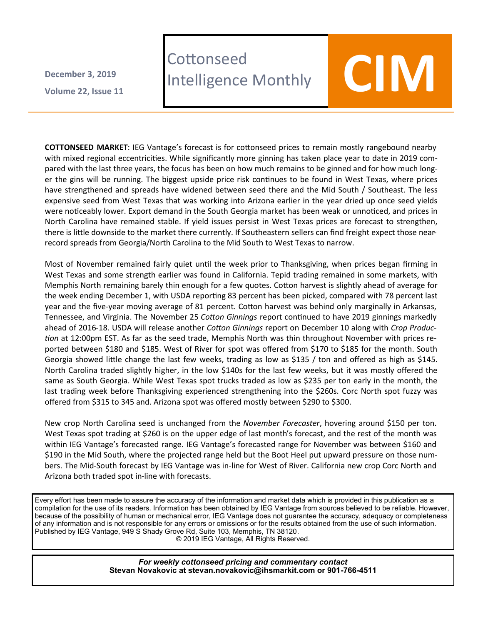**Volume 22 , Issue 11 December 3, 2019**

## **Cottonseed** LOTTONSeed<br>Intelligence Monthly **COIM**



**COTTONSEED MARKET**: IEG Vantage's forecast is for cottonseed prices to remain mostly rangebound nearby with mixed regional eccentricities. While significantly more ginning has taken place year to date in 2019 compared with the last three years, the focus has been on how much remains to be ginned and for how much longer the gins will be running. The biggest upside price risk continues to be found in West Texas, where prices have strengthened and spreads have widened between seed there and the Mid South / Southeast. The less expensive seed from West Texas that was working into Arizona earlier in the year dried up once seed yields were noticeably lower. Export demand in the South Georgia market has been weak or unnoticed, and prices in North Carolina have remained stable. If yield issues persist in West Texas prices are forecast to strengthen, there is little downside to the market there currently. If Southeastern sellers can find freight expect those nearrecord spreads from Georgia/North Carolina to the Mid South to West Texas to narrow.

Most of November remained fairly quiet until the week prior to Thanksgiving, when prices began firming in West Texas and some strength earlier was found in California. Tepid trading remained in some markets, with Memphis North remaining barely thin enough for a few quotes. Cotton harvest is slightly ahead of average for the week ending December 1, with USDA reporting 83 percent has been picked, compared with 78 percent last year and the five-year moving average of 81 percent. Cotton harvest was behind only marginally in Arkansas, Tennessee, and Virginia. The November 25 *Cotton Ginnings* report continued to have 2019 ginnings markedly ahead of 2016-18. USDA will release another *Cotton Ginnings* report on December 10 along with *Crop Production* at 12:00pm EST. As far as the seed trade, Memphis North was thin throughout November with prices reported between \$180 and \$185. West of River for spot was offered from \$170 to \$185 for the month. South Georgia showed little change the last few weeks, trading as low as \$135 / ton and offered as high as \$145. North Carolina traded slightly higher, in the low \$140s for the last few weeks, but it was mostly offered the same as South Georgia. While West Texas spot trucks traded as low as \$235 per ton early in the month, the last trading week before Thanksgiving experienced strengthening into the \$260s. Corc North spot fuzzy was offered from \$315 to 345 and. Arizona spot was offered mostly between \$290 to \$300.

New crop North Carolina seed is unchanged from the *November Forecaster*, hovering around \$150 per ton. West Texas spot trading at \$260 is on the upper edge of last month's forecast, and the rest of the month was within IEG Vantage's forecasted range. IEG Vantage's forecasted range for November was between \$160 and \$190 in the Mid South, where the projected range held but the Boot Heel put upward pressure on those numbers. The Mid-South forecast by IEG Vantage was in-line for West of River. California new crop Corc North and Arizona both traded spot in-line with forecasts.

Every effort has been made to assure the accuracy of the information and market data which is provided in this publication as a compilation for the use of its readers. Information has been obtained by IEG Vantage from sources believed to be reliable. However, because of the possibility of human or mechanical error, IEG Vantage does not guarantee the accuracy, adequacy or completeness of any information and is not responsible for any errors or omissions or for the results obtained from the use of such information. Published by IEG Vantage, 949 S Shady Grove Rd, Suite 103, Memphis, TN 38120.

© 2019 IEG Vantage, All Rights Reserved.

*For weekly cottonseed pricing and commentary contact* **Stevan Novakovic at stevan.novakovic@ihsmarkit.com or 901-766-4511**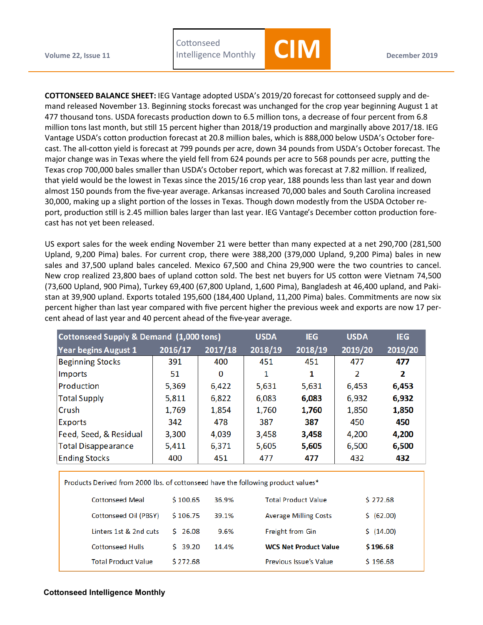**Cottonseed** 



**COTTONSEED BALANCE SHEET:** IEG Vantage adopted USDA's 2019/20 forecast for cottonseed supply and demand released November 13. Beginning stocks forecast was unchanged for the crop year beginning August 1 at 477 thousand tons. USDA forecasts production down to 6.5 million tons, a decrease of four percent from 6.8 million tons last month, but still 15 percent higher than 2018/19 production and marginally above 2017/18. IEG Vantage USDA's cotton production forecast at 20.8 million bales, which is 888,000 below USDA's October forecast. The all-cotton yield is forecast at 799 pounds per acre, down 34 pounds from USDA's October forecast. The major change was in Texas where the yield fell from 624 pounds per acre to 568 pounds per acre, putting the Texas crop 700,000 bales smaller than USDA's October report, which was forecast at 7.82 million. If realized, that yield would be the lowest in Texas since the 2015/16 crop year, 188 pounds less than last year and down almost 150 pounds from the five-year average. Arkansas increased 70,000 bales and South Carolina increased 30,000, making up a slight portion of the losses in Texas. Though down modestly from the USDA October report, production still is 2.45 million bales larger than last year. IEG Vantage's December cotton production forecast has not yet been released.

US export sales for the week ending November 21 were better than many expected at a net 290,700 (281,500 Upland, 9,200 Pima) bales. For current crop, there were 388,200 (379,000 Upland, 9,200 Pima) bales in new sales and 37,500 upland bales canceled. Mexico 67,500 and China 29,900 were the two countries to cancel. New crop realized 23,800 baes of upland cotton sold. The best net buyers for US cotton were Vietnam 74,500 (73,600 Upland, 900 Pima), Turkey 69,400 (67,800 Upland, 1,600 Pima), Bangladesh at 46,400 upland, and Pakistan at 39,900 upland. Exports totaled 195,600 (184,400 Upland, 11,200 Pima) bales. Commitments are now six percent higher than last year compared with five percent higher the previous week and exports are now 17 percent ahead of last year and 40 percent ahead of the five-year average.

| Cottonseed Supply & Demand (1,000 tons) | <b>USDA</b> | <b>IEG</b> | <b>USDA</b> | <b>IEG</b> |         |         |
|-----------------------------------------|-------------|------------|-------------|------------|---------|---------|
| <b>Year begins August 1</b>             | 2016/17     | 2017/18    | 2018/19     | 2018/19    | 2019/20 | 2019/20 |
| <b>Beginning Stocks</b>                 | 391         | 400        | 451         | 451        | 477     | 477     |
| Imports                                 | 51          | 0          |             |            | 2       | 2       |
| Production                              | 5,369       | 6,422      | 5,631       | 5,631      | 6,453   | 6,453   |
| <b>Total Supply</b>                     | 5,811       | 6,822      | 6,083       | 6,083      | 6,932   | 6,932   |
| Crush                                   | 1,769       | 1,854      | 1,760       | 1,760      | 1,850   | 1,850   |
| <b>Exports</b>                          | 342         | 478        | 387         | 387        | 450     | 450     |
| Feed, Seed, & Residual                  | 3,300       | 4,039      | 3,458       | 3,458      | 4,200   | 4,200   |
| <b>Total Disappearance</b>              | 5,411       | 6,371      | 5,605       | 5,605      | 6,500   | 6,500   |
| <b>Ending Stocks</b>                    | 400         | 451        | 477         | 477        | 432     | 432     |

Products Derived from 2000 lbs. of cottonseed have the following product values\*

| <b>Cottonseed Meal</b>     | \$100.65 | 36.9% | <b>Total Product Value</b>   | \$272.68   |
|----------------------------|----------|-------|------------------------------|------------|
| Cottonseed Oil (PBSY)      | \$106.75 | 39.1% | <b>Average Milling Costs</b> | \$ (62.00) |
| Linters 1st & 2nd cuts     | \$76.08  | 9.6%  | <b>Freight from Gin</b>      | 5(14.00)   |
| <b>Cottonseed Hulls</b>    | 5, 39.20 | 14.4% | <b>WCS Net Product Value</b> | \$196.68   |
| <b>Total Product Value</b> | \$272.68 |       | Previous Issue's Value       | \$196.68   |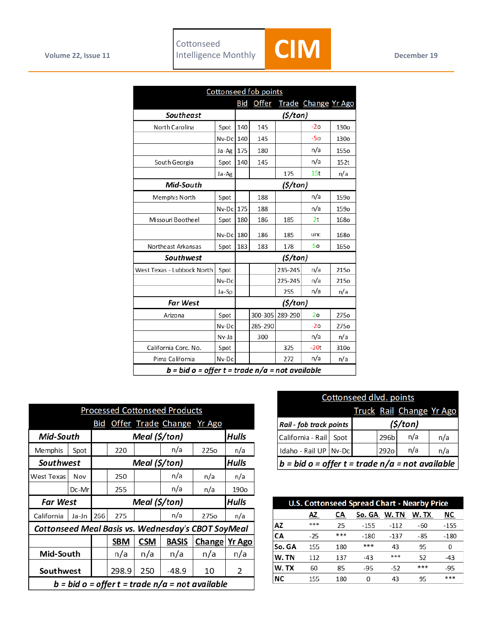

|                            |                                                 | <b>Cottonseed fob points</b> |         |          |                     |                  |  |  |
|----------------------------|-------------------------------------------------|------------------------------|---------|----------|---------------------|------------------|--|--|
|                            |                                                 | Bid                          | Offer   |          | Trade Change Yr Ago |                  |  |  |
| Southeast                  |                                                 |                              | (5/ton) |          |                     |                  |  |  |
| North Carolina             | Spot                                            | 140                          | 145     |          | $-20$               | 130 <sub>o</sub> |  |  |
|                            | Nv-Dc                                           | 140                          | 145     |          | $-50$               | 130o             |  |  |
|                            | Ja-Ag                                           | 175                          | 180     |          | n/a                 | <b>1550</b>      |  |  |
| South Georgia              | Spot                                            | 140                          | 145     |          | n/a                 | 152t             |  |  |
|                            | Ja-Ag                                           |                              |         | 175      | 15t                 | n/a              |  |  |
| Mid-South                  |                                                 |                              |         | (\$/ton) |                     |                  |  |  |
| Memphis North              | Spot                                            |                              | 188     |          | n/a                 | 159o             |  |  |
|                            | Nv-Dc                                           | 175                          | 188     |          | n/a                 | 159o             |  |  |
| Missouri Bootheel          | Spot                                            | 180                          | 186     | 185      | 2t                  | 1680             |  |  |
|                            | Nv-Dc                                           | 180                          | 186     | 185      | unc                 | <b>1680</b>      |  |  |
| Northeast Arkansas         | Spot                                            | 183                          | 183     | 178      | 50                  | <b>1650</b>      |  |  |
| Southwest                  |                                                 | (\$/ton)                     |         |          |                     |                  |  |  |
| West Texas - Lubbock North | Spot                                            |                              |         | 235-245  | n/a                 | 215o             |  |  |
|                            | Nv-Dc                                           |                              |         | 225-245  | n/a                 | 215o             |  |  |
|                            | Ja-Sp                                           |                              |         | 255      | n/a                 | n/a              |  |  |
| <b>Far West</b>            |                                                 | (\$/ton)                     |         |          |                     |                  |  |  |
| Arizona                    | Spot                                            |                              | 300-305 | 289-290  | 20                  | 275o             |  |  |
|                            | Nv-Dc                                           |                              | 285-290 |          | $-2o$               | 275o             |  |  |
|                            | Nv-Ja                                           |                              | 300     |          | n/a                 | n/a              |  |  |
| California Corc. No.       | Spot                                            |                              |         | 325      | $-20t$              | 310o             |  |  |
| Pima California            | Nv-Dc                                           |                              |         | 272      | n/a                 | n/a              |  |  |
|                            | b = bid o = offer t = trade n/a = not available |                              |         |          |                     |                  |  |  |

| <b>Processed Cottonseed Products</b>               |               |     |                               |            |                           |                  |                  |  |
|----------------------------------------------------|---------------|-----|-------------------------------|------------|---------------------------|------------------|------------------|--|
|                                                    |               | Bid |                               |            | Offer Trade Change Yr Ago |                  |                  |  |
| Mid-South                                          |               |     | <b>Hulls</b><br>Meal (\$/ton) |            |                           |                  |                  |  |
| Memphis                                            | Spot          |     | 220                           |            | n/a                       | 225 <sub>o</sub> | n/a              |  |
| Southwest                                          | Meal (\$/ton) |     |                               |            | <b>Hulls</b>              |                  |                  |  |
| West Texas                                         | Nov           |     | 250                           |            | n/a                       | n/a              | n/a              |  |
|                                                    | Dc-Mr         |     | 255                           |            | n/a                       | n/a              | 190 <sub>o</sub> |  |
| Meal (\$/ton)<br><b>Far West</b>                   |               |     |                               |            |                           |                  |                  |  |
|                                                    |               |     |                               |            |                           |                  | Hulls            |  |
| California                                         | Ja-Jn         | 266 | 275                           |            | n/a                       | 275 <sub>o</sub> | n/a              |  |
| Cottonseed Meal Basis vs. Wednesday's CBOT SoyMeal |               |     |                               |            |                           |                  |                  |  |
|                                                    |               |     | <b>SBM</b>                    | <b>CSM</b> | <b>BASIS</b>              | Change           | <b>Yr Ago</b>    |  |
| Mid-South                                          |               |     | n/a                           | n/a        | n/a                       | n/a              | n/a              |  |
| Southwest                                          |               |     | 298.9                         | 250        | $-48.9$                   | 10               | 2                |  |

| Cottonseed dlvd. points                           |                                     |  |      |                          |     |  |
|---------------------------------------------------|-------------------------------------|--|------|--------------------------|-----|--|
|                                                   |                                     |  |      | Truck Rail Change Yr Ago |     |  |
|                                                   | (\$/ton)<br>Rail - fob track points |  |      |                          |     |  |
| California - Rail                                 | Spot                                |  | 296b | n/a                      | n/a |  |
| Idaho - Rail UP Nv-Dc                             |                                     |  | 292o | n/a                      | n/a |  |
| $b = bid o = offer t = trade n/a = not available$ |                                     |  |      |                          |     |  |

| <b>U.S. Cottonseed Spread Chart - Nearby Price</b> |       |     |        |        |       |        |
|----------------------------------------------------|-------|-----|--------|--------|-------|--------|
|                                                    | ΑZ    | СA  | So. GA | W.TN   | W. TX | ΝC     |
| ΑZ                                                 | ***   | 25  | $-155$ | $-112$ | -60   | $-155$ |
| CА                                                 | $-25$ | *** | -180   | $-137$ | -85   | $-180$ |
| So. GA                                             | 155   | 180 | ***    | 43     | 95    | 0      |
| W.TN                                               | 112   | 137 | $-43$  | ***    | 52    | $-43$  |
| W.TX                                               | 60    | 85  | $-95$  | $-52$  | ***   | $-95$  |
| ΝC                                                 | 155   | 180 | 0      | 43     | 95    | ***    |